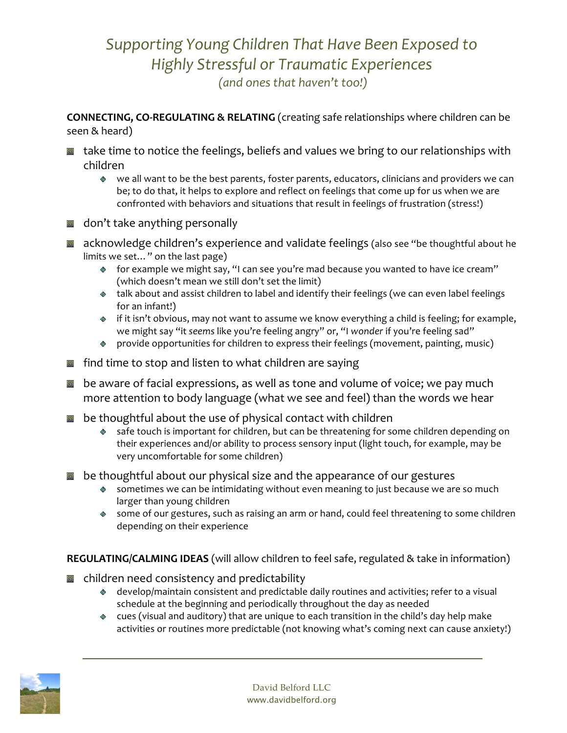## *Supporting Young Children That Have Been Exposed to Highly Stressful or Traumatic Experiences (and ones that haven't too!)*

**CONNECTING, CO-REGULATING & RELATING** (creating safe relationships where children can be seen & heard)

- take time to notice the feelings, beliefs and values we bring to our relationships with children
	- we all want to be the best parents, foster parents, educators, clinicians and providers we can be; to do that, it helps to explore and reflect on feelings that come up for us when we are confronted with behaviors and situations that result in feelings of frustration (stress!)
- don't take anything personally
- acknowledge children's experience and validate feelings (also see "be thoughtful about he limits we set…" on the last page)
	- for example we might say, "I can see you're mad because you wanted to have ice cream" (which doesn't mean we still don't set the limit)
	- talk about and assist children to label and identify their feelings (we can even label feelings for an infant!)
	- ◆ if it isn't obvious, may not want to assume we know everything a child is feeling; for example, we might say "it *seems* like you're feeling angry" or, "I *wonder* if you're feeling sad"
	- provide opportunities for children to express their feelings (movement, painting, music)
- find time to stop and listen to what children are saying
- be aware of facial expressions, as well as tone and volume of voice; we pay much more attention to body language (what we see and feel) than the words we hear
- be thoughtful about the use of physical contact with children
	- safe touch is important for children, but can be threatening for some children depending on their experiences and/or ability to process sensory input (light touch, for example, may be very uncomfortable for some children)
- be thoughtful about our physical size and the appearance of our gestures
	- sometimes we can be intimidating without even meaning to just because we are so much larger than young children
	- some of our gestures, such as raising an arm or hand, could feel threatening to some children depending on their experience

**REGULATING/CALMING IDEAS** (will allow children to feel safe, regulated & take in information)

- children need consistency and predictability
	- develop/maintain consistent and predictable daily routines and activities; refer to a visual schedule at the beginning and periodically throughout the day as needed
	- cues (visual and auditory) that are unique to each transition in the child's day help make activities or routines more predictable (not knowing what's coming next can cause anxiety!)

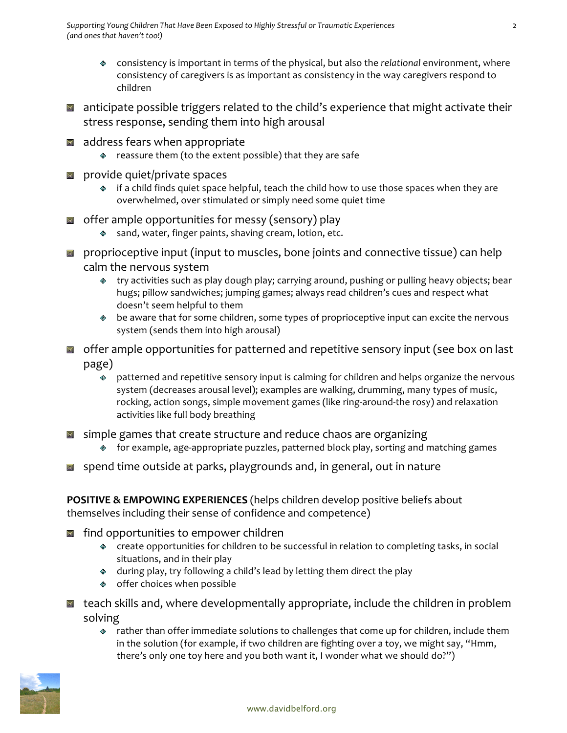- consistency is important in terms of the physical, but also the *relational* environment, where consistency of caregivers is as important as consistency in the way caregivers respond to children
- anticipate possible triggers related to the child's experience that might activate their stress response, sending them into high arousal
- address fears when appropriate
	- reassure them (to the extent possible) that they are safe
- provide quiet/private spaces 回
	- if a child finds quiet space helpful, teach the child how to use those spaces when they are overwhelmed, over stimulated or simply need some quiet time
- offer ample opportunities for messy (sensory) play
	- ◈ sand, water, finger paints, shaving cream, lotion, etc.
- proprioceptive input (input to muscles, bone joints and connective tissue) can help calm the nervous system
	- try activities such as play dough play; carrying around, pushing or pulling heavy objects; bear hugs; pillow sandwiches; jumping games; always read children's cues and respect what doesn't seem helpful to them
	- be aware that for some children, some types of proprioceptive input can excite the nervous system (sends them into high arousal)
- offer ample opportunities for patterned and repetitive sensory input (see box on last page)
	- $\overset{\circ}{\bullet}$  patterned and repetitive sensory input is calming for children and helps organize the nervous system (decreases arousal level); examples are walking, drumming, many types of music, rocking, action songs, simple movement games (like ring-around-the rosy) and relaxation activities like full body breathing
- **s** simple games that create structure and reduce chaos are organizing
	- for example, age-appropriate puzzles, patterned block play, sorting and matching games
- spend time outside at parks, playgrounds and, in general, out in nature

**POSITIVE & EMPOWING EXPERIENCES** (helps children develop positive beliefs about themselves including their sense of confidence and competence)

- find opportunities to empower children
	- create opportunities for children to be successful in relation to completing tasks, in social situations, and in their play
	- during play, try following a child's lead by letting them direct the play
	- offer choices when possible
- teach skills and, where developmentally appropriate, include the children in problem solving
	- rather than offer immediate solutions to challenges that come up for children, include them in the solution (for example, if two children are fighting over a toy, we might say, "Hmm, there's only one toy here and you both want it, I wonder what we should do?")